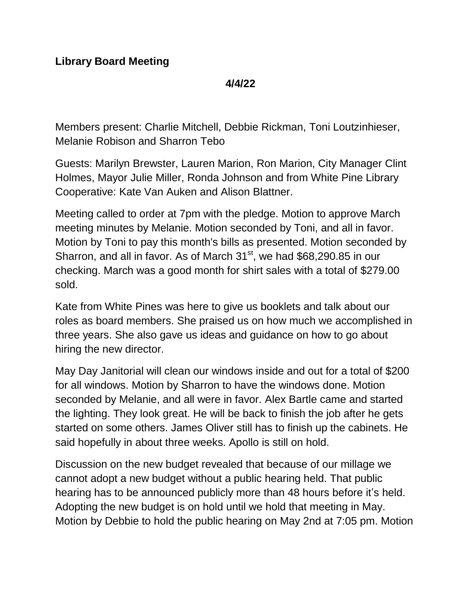**4/4/22**

Members present: Charlie Mitchell, Debbie Rickman, Toni Loutzinhieser, Melanie Robison and Sharron Tebo

Guests: Marilyn Brewster, Lauren Marion, Ron Marion, City Manager Clint Holmes, Mayor Julie Miller, Ronda Johnson and from White Pine Library Cooperative: Kate Van Auken and Alison Blattner.

Meeting called to order at 7pm with the pledge. Motion to approve March meeting minutes by Melanie. Motion seconded by Toni, and all in favor. Motion by Toni to pay this month's bills as presented. Motion seconded by Sharron, and all in favor. As of March 31<sup>st</sup>, we had \$68,290.85 in our checking. March was a good month for shirt sales with a total of \$279.00 sold.

Kate from White Pines was here to give us booklets and talk about our roles as board members. She praised us on how much we accomplished in three years. She also gave us ideas and guidance on how to go about hiring the new director.

May Day Janitorial will clean our windows inside and out for a total of \$200 for all windows. Motion by Sharron to have the windows done. Motion seconded by Melanie, and all were in favor. Alex Bartle came and started the lighting. They look great. He will be back to finish the job after he gets started on some others. James Oliver still has to finish up the cabinets. He said hopefully in about three weeks. Apollo is still on hold.

Discussion on the new budget revealed that because of our millage we cannot adopt a new budget without a public hearing held. That public hearing has to be announced publicly more than 48 hours before it's held. Adopting the new budget is on hold until we hold that meeting in May. Motion by Debbie to hold the public hearing on May 2nd at 7:05 pm. Motion